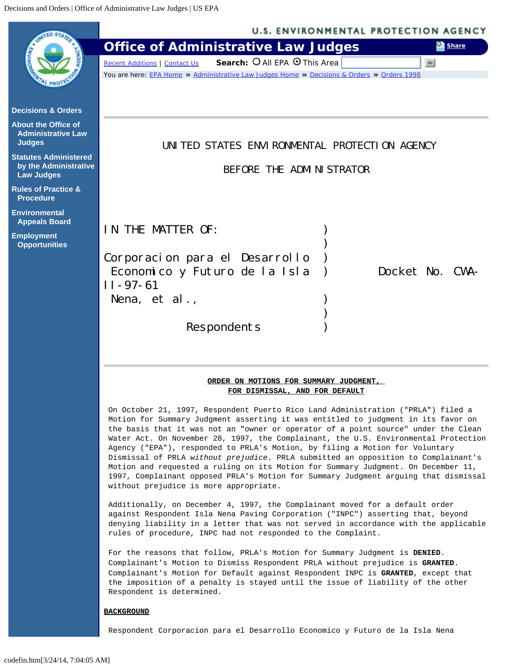<span id="page-0-0"></span>

## **BACKGROUND**

Respondent Corporacion para el Desarrollo Economico y Futuro de la Isla Nena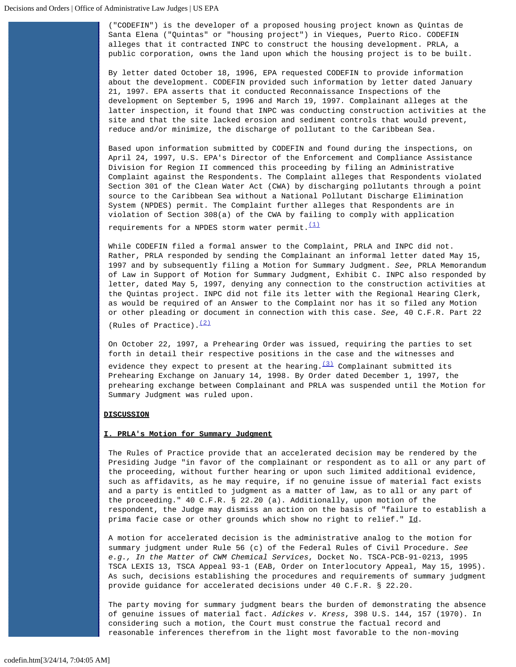("CODEFIN") is the developer of a proposed housing project known as Quintas de Santa Elena ("Quintas" or "housing project") in Vieques, Puerto Rico. CODEFIN alleges that it contracted INPC to construct the housing development. PRLA, a public corporation, owns the land upon which the housing project is to be built.

By letter dated October 18, 1996, EPA requested CODEFIN to provide information about the development. CODEFIN provided such information by letter dated January 21, 1997. EPA asserts that it conducted Reconnaissance Inspections of the development on September 5, 1996 and March 19, 1997. Complainant alleges at the latter inspection, it found that INPC was conducting construction activities at the site and that the site lacked erosion and sediment controls that would prevent, reduce and/or minimize, the discharge of pollutant to the Caribbean Sea.

Based upon information submitted by CODEFIN and found during the inspections, on April 24, 1997, U.S. EPA's Director of the Enforcement and Compliance Assistance Division for Region II commenced this proceeding by filing an Administrative Complaint against the Respondents. The Complaint alleges that Respondents violated Section 301 of the Clean Water Act (CWA) by discharging pollutants through a point source to the Caribbean Sea without a National Pollutant Discharge Elimination System (NPDES) permit. The Complaint further alleges that Respondents are in violation of Section 308(a) of the CWA by failing to comply with application requirements for a NPDES storm water permit.  $\frac{(1)}{(1)}$  $\frac{(1)}{(1)}$  $\frac{(1)}{(1)}$ 

While CODEFIN filed a formal answer to the Complaint, PRLA and INPC did not. Rather, PRLA responded by sending the Complainant an informal letter dated May 15, 1997 and by subsequently filing a Motion for Summary Judgment. *See*, PRLA Memorandum of Law in Support of Motion for Summary Judgment, Exhibit C. INPC also responded by letter, dated May 5, 1997, denying any connection to the construction activities at the Quintas project. INPC did not file its letter with the Regional Hearing Clerk, as would be required of an Answer to the Complaint nor has it so filed any Motion or other pleading or document in connection with this case. *See*, 40 C.F.R. Part 22 (Rules of Practice).  $(2)$ 

On October 22, 1997, a Prehearing Order was issued, requiring the parties to set forth in detail their respective positions in the case and the witnesses and

evidence they expect to present at the hearing.  $(3)$  Complainant submitted its Prehearing Exchange on January 14, 1998. By Order dated December 1, 1997, the prehearing exchange between Complainant and PRLA was suspended until the Motion for Summary Judgment was ruled upon.

## **DISCUSSION**

## **I. PRLA's Motion for Summary Judgment**

The Rules of Practice provide that an accelerated decision may be rendered by the Presiding Judge "in favor of the complainant or respondent as to all or any part of the proceeding, without further hearing or upon such limited additional evidence, such as affidavits, as he may require, if no genuine issue of material fact exists and a party is entitled to judgment as a matter of law, as to all or any part of the proceeding." 40 C.F.R. § 22.20 (a). Additionally, upon motion of the respondent, the Judge may dismiss an action on the basis of "failure to establish a prima facie case or other grounds which show no right to relief." Id.

A motion for accelerated decision is the administrative analog to the motion for summary judgment under Rule 56 (c) of the Federal Rules of Civil Procedure. *See e.g., In the Matter of CWM Chemical Services*, Docket No. TSCA-PCB-91-0213, 1995 TSCA LEXIS 13, TSCA Appeal 93-1 (EAB, Order on Interlocutory Appeal, May 15, 1995). As such, decisions establishing the procedures and requirements of summary judgment provide guidance for accelerated decisions under 40 C.F.R. § 22.20.

The party moving for summary judgment bears the burden of demonstrating the absence of genuine issues of material fact. *Adickes v. Kress*, 398 U.S. 144, 157 (1970). In considering such a motion, the Court must construe the factual record and reasonable inferences therefrom in the light most favorable to the non-moving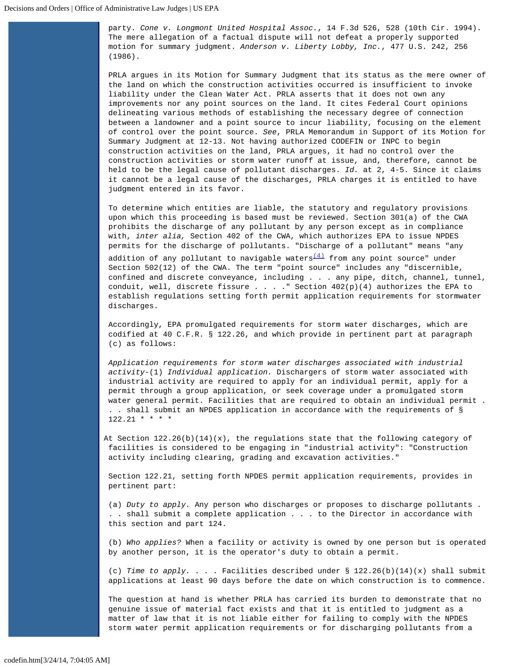party. *Cone v. Longmont United Hospital Assoc.*, 14 F.3d 526, 528 (10th Cir. 1994). The mere allegation of a factual dispute will not defeat a properly supported motion for summary judgment. *Anderson v. Liberty Lobby, Inc.*, 477 U.S. 242, 256 (1986).

PRLA argues in its Motion for Summary Judgment that its status as the mere owner of the land on which the construction activities occurred is insufficient to invoke liability under the Clean Water Act. PRLA asserts that it does not own any improvements nor any point sources on the land. It cites Federal Court opinions delineating various methods of establishing the necessary degree of connection between a landowner and a point source to incur liability, focusing on the element of control over the point source. *See*, PRLA Memorandum in Support of its Motion for Summary Judgment at 12-13. Not having authorized CODEFIN or INPC to begin construction activities on the land, PRLA argues, it had no control over the construction activities or storm water runoff at issue, and, therefore, cannot be held to be the legal cause of pollutant discharges. *Id.* at 2, 4-5. Since it claims it cannot be a legal cause of the discharges, PRLA charges it is entitled to have judgment entered in its favor.

To determine which entities are liable, the statutory and regulatory provisions upon which this proceeding is based must be reviewed. Section 301(a) of the CWA prohibits the discharge of any pollutant by any person except as in compliance with, *inter alia,* Section 402 of the CWA, which authorizes EPA to issue NPDES permits for the discharge of pollutants. "Discharge of a pollutant" means "any

addition of any pollutant to navigable waters $\frac{(4)}{4}$  from any point source" under Section 502(12) of the CWA. The term "point source" includes any "discernible, confined and discrete conveyance, including . . . any pipe, ditch, channel, tunnel, conduit, well, discrete fissure . . . . " Section  $402(p)(4)$  authorizes the EPA to establish regulations setting forth permit application requirements for stormwater discharges.

Accordingly, EPA promulgated requirements for storm water discharges, which are codified at 40 C.F.R. § 122.26, and which provide in pertinent part at paragraph (c) as follows:

*Application requirements for storm water discharges associated with industrial activity-*(1) *Individual application.* Dischargers of storm water associated with industrial activity are required to apply for an individual permit, apply for a permit through a group application, or seek coverage under a promulgated storm water general permit. Facilities that are required to obtain an individual permit . . . shall submit an NPDES application in accordance with the requirements of §  $122.21$  \* \* \* \*

At Section  $122.26(b)(14)(x)$ , the regulations state that the following category of facilities is considered to be engaging in "industrial activity": "Construction activity including clearing, grading and excavation activities."

Section 122.21, setting forth NPDES permit application requirements, provides in pertinent part:

(a) *Duty to apply.* Any person who discharges or proposes to discharge pollutants . . . shall submit a complete application . . . to the Director in accordance with this section and part 124.

(b) *Who applies?* When a facility or activity is owned by one person but is operated by another person, it is the operator's duty to obtain a permit.

(c) Time to apply. . . . Facilities described under  $\S$  122.26(b)(14)(x) shall submit applications at least 90 days before the date on which construction is to commence.

The question at hand is whether PRLA has carried its burden to demonstrate that no genuine issue of material fact exists and that it is entitled to judgment as a matter of law that it is not liable either for failing to comply with the NPDES storm water permit application requirements or for discharging pollutants from a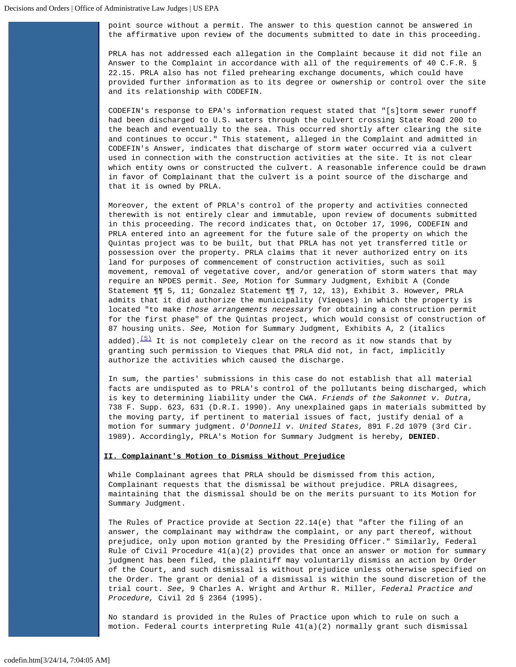point source without a permit. The answer to this question cannot be answered in the affirmative upon review of the documents submitted to date in this proceeding.

PRLA has not addressed each allegation in the Complaint because it did not file an Answer to the Complaint in accordance with all of the requirements of 40 C.F.R. § 22.15. PRLA also has not filed prehearing exchange documents, which could have provided further information as to its degree or ownership or control over the site and its relationship with CODEFIN.

CODEFIN's response to EPA's information request stated that "[s]torm sewer runoff had been discharged to U.S. waters through the culvert crossing State Road 200 to the beach and eventually to the sea. This occurred shortly after clearing the site and continues to occur." This statement, alleged in the Complaint and admitted in CODEFIN's Answer, indicates that discharge of storm water occurred via a culvert used in connection with the construction activities at the site. It is not clear which entity owns or constructed the culvert. A reasonable inference could be drawn in favor of Complainant that the culvert is a point source of the discharge and that it is owned by PRLA.

Moreover, the extent of PRLA's control of the property and activities connected therewith is not entirely clear and immutable, upon review of documents submitted in this proceeding. The record indicates that, on October 17, 1996, CODEFIN and PRLA entered into an agreement for the future sale of the property on which the Quintas project was to be built, but that PRLA has not yet transferred title or possession over the property. PRLA claims that it never authorized entry on its land for purposes of commencement of construction activities, such as soil movement, removal of vegetative cover, and/or generation of storm waters that may require an NPDES permit. *See,* Motion for Summary Judgment, Exhibit A (Conde Statement ¶¶ 5, 11; Gonzalez Statement ¶¶ 7, 12, 13), Exhibit 3. However, PRLA admits that it did authorize the municipality (Vieques) in which the property is located "to make *those arrangements necessary* for obtaining a construction permit for the first phase" of the Quintas project, which would consist of construction of 87 housing units. *See,* Motion for Summary Judgment, Exhibits A, 2 (italics

added). $\frac{(5)}{10}$  It is not completely clear on the record as it now stands that by granting such permission to Vieques that PRLA did not, in fact, implicitly authorize the activities which caused the discharge.

In sum, the parties' submissions in this case do not establish that all material facts are undisputed as to PRLA's control of the pollutants being discharged, which is key to determining liability under the CWA. *Friends of the Sakonnet v. Dutra*, 738 F. Supp. 623, 631 (D.R.I. 1990). Any unexplained gaps in materials submitted by the moving party, if pertinent to material issues of fact, justify denial of a motion for summary judgment. *O'Donnell v. United States,* 891 F.2d 1079 (3rd Cir. 1989). Accordingly, PRLA's Motion for Summary Judgment is hereby, **DENIED**.

#### **II. Complainant's Motion to Dismiss Without Prejudice**

While Complainant agrees that PRLA should be dismissed from this action, Complainant requests that the dismissal be without prejudice. PRLA disagrees, maintaining that the dismissal should be on the merits pursuant to its Motion for Summary Judgment.

The Rules of Practice provide at Section 22.14(e) that "after the filing of an answer, the complainant may withdraw the complaint, or any part thereof, without prejudice, only upon motion granted by the Presiding Officer." Similarly, Federal Rule of Civil Procedure 41(a)(2) provides that once an answer or motion for summary judgment has been filed, the plaintiff may voluntarily dismiss an action by Order of the Court, and such dismissal is without prejudice unless otherwise specified on the Order. The grant or denial of a dismissal is within the sound discretion of the trial court. *See*, 9 Charles A. Wright and Arthur R. Miller, *Federal Practice and Procedure,* Civil 2d § 2364 (1995).

No standard is provided in the Rules of Practice upon which to rule on such a motion. Federal courts interpreting Rule 41(a)(2) normally grant such dismissal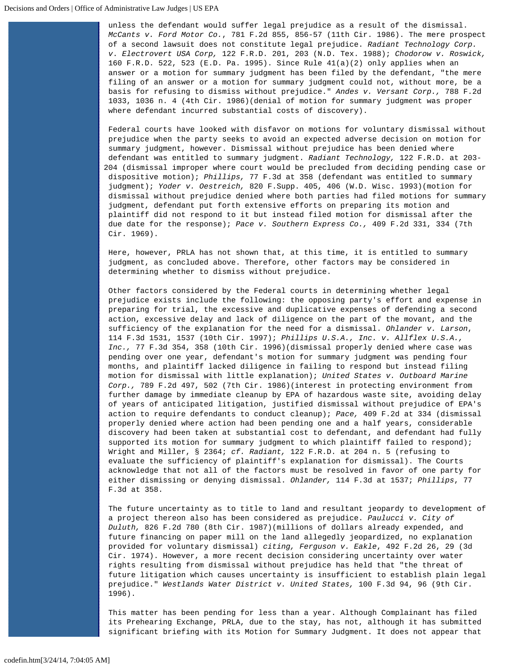unless the defendant would suffer legal prejudice as a result of the dismissal. *McCants v. Ford Motor Co.*, 781 F.2d 855, 856-57 (11th Cir. 1986). The mere prospect of a second lawsuit does not constitute legal prejudice. *Radiant Technology Corp. v*. *Electrovert USA Corp,* 122 F.R.D. 201, 203 (N.D. Tex. 1988); *Chodorow v. Roswick,* 160 F.R.D. 522, 523 (E.D. Pa. 1995). Since Rule 41(a)(2) only applies when an answer or a motion for summary judgment has been filed by the defendant, "the mere filing of an answer or a motion for summary judgment could not, without more, be a basis for refusing to dismiss without prejudice." *Andes v. Versant Corp.,* 788 F.2d 1033, 1036 n. 4 (4th Cir. 1986)(denial of motion for summary judgment was proper where defendant incurred substantial costs of discovery).

Federal courts have looked with disfavor on motions for voluntary dismissal without prejudice when the party seeks to avoid an expected adverse decision on motion for summary judgment, however. Dismissal without prejudice has been denied where defendant was entitled to summary judgment. *Radiant Technology,* 122 F.R.D. at 203- 204 (dismissal improper where court would be precluded from deciding pending case or dispositive motion); *Phillips,* 77 F.3d at 358 (defendant was entitled to summary judgment); *Yoder v. Oestreich,* 820 F.Supp. 405, 406 (W.D. Wisc. 1993)(motion for dismissal without prejudice denied where both parties had filed motions for summary judgment, defendant put forth extensive efforts on preparing its motion and plaintiff did not respond to it but instead filed motion for dismissal after the due date for the response); *Pace v. Southern Express Co.,* 409 F.2d 331, 334 (7th Cir. 1969).

Here, however, PRLA has not shown that, at this time, it is entitled to summary judgment, as concluded above. Therefore, other factors may be considered in determining whether to dismiss without prejudice.

Other factors considered by the Federal courts in determining whether legal prejudice exists include the following: the opposing party's effort and expense in preparing for trial, the excessive and duplicative expenses of defending a second action, excessive delay and lack of diligence on the part of the movant, and the sufficiency of the explanation for the need for a dismissal. *Ohlander v. Larson*, 114 F.3d 1531, 1537 (10th Cir. 1997); *Phillips U.S.A., Inc. v. Allflex U.S.A., Inc.,* 77 F.3d 354, 358 (10th Cir. 1996)(dismissal properly denied where case was pending over one year, defendant's motion for summary judgment was pending four months, and plaintiff lacked diligence in failing to respond but instead filing motion for dismissal with little explanation); *United States v. Outboard Marine Corp.,* 789 F.2d 497, 502 (7th Cir. 1986)(interest in protecting environment from further damage by immediate cleanup by EPA of hazardous waste site, avoiding delay of years of anticipated litigation, justified dismissal without prejudice of EPA's action to require defendants to conduct cleanup); *Pace,* 409 F.2d at 334 (dismissal properly denied where action had been pending one and a half years, considerable discovery had been taken at substantial cost to defendant, and defendant had fully supported its motion for summary judgment to which plaintiff failed to respond); Wright and Miller, § 2364; *cf. Radiant,* 122 F.R.D. at 204 n. 5 (refusing to evaluate the sufficiency of plaintiff's explanation for dismissal). The Courts acknowledge that not all of the factors must be resolved in favor of one party for either dismissing or denying dismissal. *Ohlander,* 114 F.3d at 1537; *Phillips*, 77 F.3d at 358.

The future uncertainty as to title to land and resultant jeopardy to development of a project thereon also has been considered as prejudice. *Paulucci v. City of Duluth,* 826 F.2d 780 (8th Cir. 1987)(millions of dollars already expended, and future financing on paper mill on the land allegedly jeopardized, no explanation provided for voluntary dismissal) *citing, Ferguson v. Eakle*, 492 F.2d 26, 29 (3d Cir. 1974). However, a more recent decision considering uncertainty over water rights resulting from dismissal without prejudice has held that "the threat of future litigation which causes uncertainty is insufficient to establish plain legal prejudice." *Westlands Water District v. United States,* 100 F.3d 94, 96 (9th Cir. 1996).

This matter has been pending for less than a year. Although Complainant has filed its Prehearing Exchange, PRLA, due to the stay, has not, although it has submitted significant briefing with its Motion for Summary Judgment. It does not appear that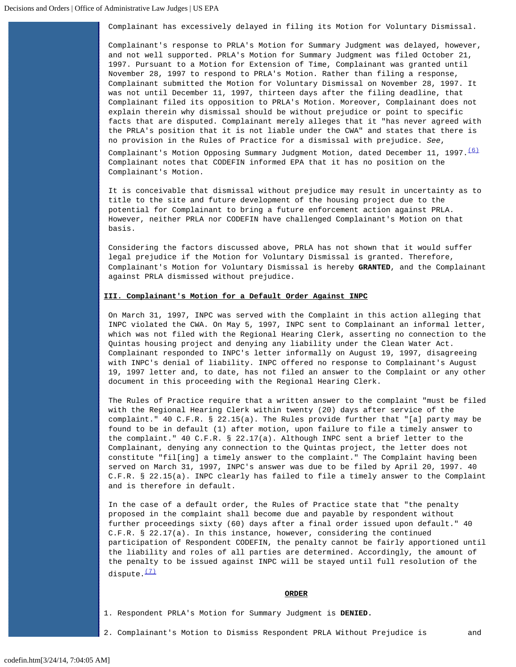Complainant has excessively delayed in filing its Motion for Voluntary Dismissal.

Complainant's response to PRLA's Motion for Summary Judgment was delayed, however, and not well supported. PRLA's Motion for Summary Judgment was filed October 21, 1997. Pursuant to a Motion for Extension of Time, Complainant was granted until November 28, 1997 to respond to PRLA's Motion. Rather than filing a response, Complainant submitted the Motion for Voluntary Dismissal on November 28, 1997. It was not until December 11, 1997, thirteen days after the filing deadline, that Complainant filed its opposition to PRLA's Motion. Moreover, Complainant does not explain therein why dismissal should be without prejudice or point to specific facts that are disputed. Complainant merely alleges that it "has never agreed with the PRLA's position that it is not liable under the CWA" and states that there is no provision in the Rules of Practice for a dismissal with prejudice. *See*,

Complainant's Motion Opposing Summary Judgment Motion, dated December 11, 1997. $\frac{(6)}{6}$  $\frac{(6)}{6}$  $\frac{(6)}{6}$  Complainant notes that CODEFIN informed EPA that it has no position on the Complainant's Motion.

It is conceivable that dismissal without prejudice may result in uncertainty as to title to the site and future development of the housing project due to the potential for Complainant to bring a future enforcement action against PRLA. However, neither PRLA nor CODEFIN have challenged Complainant's Motion on that basis.

Considering the factors discussed above, PRLA has not shown that it would suffer legal prejudice if the Motion for Voluntary Dismissal is granted. Therefore, Complainant's Motion for Voluntary Dismissal is hereby **GRANTED**, and the Complainant against PRLA dismissed without prejudice.

# **III. Complainant's Motion for a Default Order Against INPC**

On March 31, 1997, INPC was served with the Complaint in this action alleging that INPC violated the CWA. On May 5, 1997, INPC sent to Complainant an informal letter, which was not filed with the Regional Hearing Clerk, asserting no connection to the Quintas housing project and denying any liability under the Clean Water Act. Complainant responded to INPC's letter informally on August 19, 1997, disagreeing with INPC's denial of liability. INPC offered no response to Complainant's August 19, 1997 letter and, to date, has not filed an answer to the Complaint or any other document in this proceeding with the Regional Hearing Clerk.

The Rules of Practice require that a written answer to the complaint "must be filed with the Regional Hearing Clerk within twenty (20) days after service of the complaint." 40 C.F.R. § 22.15(a). The Rules provide further that "[a] party may be found to be in default (1) after motion, upon failure to file a timely answer to the complaint." 40 C.F.R. § 22.17(a). Although INPC sent a brief letter to the Complainant, denying any connection to the Quintas project, the letter does not constitute "fil[ing] a timely answer to the complaint." The Complaint having been served on March 31, 1997, INPC's answer was due to be filed by April 20, 1997. 40 C.F.R. § 22.15(a). INPC clearly has failed to file a timely answer to the Complaint and is therefore in default.

In the case of a default order, the Rules of Practice state that "the penalty proposed in the complaint shall become due and payable by respondent without further proceedings sixty (60) days after a final order issued upon default." 40 C.F.R. § 22.17(a). In this instance, however, considering the continued participation of Respondent CODEFIN, the penalty cannot be fairly apportioned until the liability and roles of all parties are determined. Accordingly, the amount of the penalty to be issued against INPC will be stayed until full resolution of the dispute. $\frac{(7)}{2}$  $\frac{(7)}{2}$  $\frac{(7)}{2}$ 

#### **ORDER**

- 1. Respondent PRLA's Motion for Summary Judgment is **DENIED.**
- 2. Complainant's Motion to Dismiss Respondent PRLA Without Prejudice is and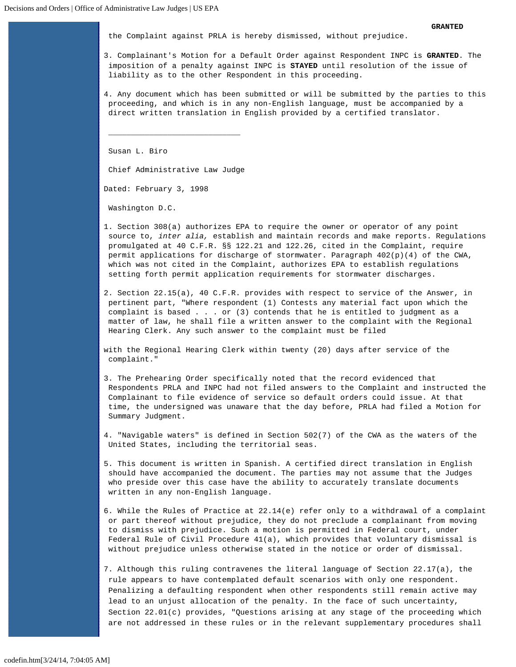the Complaint against PRLA is hereby dismissed, without prejudice.

- 3. Complainant's Motion for a Default Order against Respondent INPC is **GRANTED**. The imposition of a penalty against INPC is **STAYED** until resolution of the issue of liability as to the other Respondent in this proceeding.
- 4. Any document which has been submitted or will be submitted by the parties to this proceeding, and which is in any non-English language, must be accompanied by a direct written translation in English provided by a certified translator.

Susan L. Biro

Chief Administrative Law Judge

 $\overline{\phantom{a}}$  , and the contract of the contract of the contract of  $\overline{\phantom{a}}$ 

Dated: February 3, 1998

Washington D.C.

- <span id="page-6-0"></span>1. Section 308(a) authorizes EPA to require the owner or operator of any point source to, *inter alia,* establish and maintain records and make reports. Regulations promulgated at 40 C.F.R. §§ 122.21 and 122.26, cited in the Complaint, require permit applications for discharge of stormwater. Paragraph 402(p)(4) of the CWA, which was not cited in the Complaint, authorizes EPA to establish regulations setting forth permit application requirements for stormwater discharges.
- <span id="page-6-1"></span>2. Section 22.15(a), 40 C.F.R. provides with respect to service of the Answer, in pertinent part, "Where respondent (1) Contests any material fact upon which the complaint is based . . . or (3) contends that he is entitled to judgment as a matter of law, he shall file a written answer to the complaint with the Regional Hearing Clerk. Any such answer to the complaint must be filed
- with the Regional Hearing Clerk within twenty (20) days after service of the complaint."
- <span id="page-6-2"></span>3. The Prehearing Order specifically noted that the record evidenced that Respondents PRLA and INPC had not filed answers to the Complaint and instructed the Complainant to file evidence of service so default orders could issue. At that time, the undersigned was unaware that the day before, PRLA had filed a Motion for Summary Judgment.
- <span id="page-6-3"></span>4. "Navigable waters" is defined in Section 502(7) of the CWA as the waters of the United States, including the territorial seas.
- <span id="page-6-4"></span>5. This document is written in Spanish. A certified direct translation in English should have accompanied the document. The parties may not assume that the Judges who preside over this case have the ability to accurately translate documents written in any non-English language.
- <span id="page-6-5"></span>6. While the Rules of Practice at 22.14(e) refer only to a withdrawal of a complaint or part thereof without prejudice, they do not preclude a complainant from moving to dismiss with prejudice. Such a motion is permitted in Federal court, under Federal Rule of Civil Procedure 41(a), which provides that voluntary dismissal is without prejudice unless otherwise stated in the notice or order of dismissal.
- <span id="page-6-6"></span>7. Although this ruling contravenes the literal language of Section 22.17(a), the rule appears to have contemplated default scenarios with only one respondent. Penalizing a defaulting respondent when other respondents still remain active may lead to an unjust allocation of the penalty. In the face of such uncertainty, Section  $22.01(c)$  provides, "Questions arising at any stage of the proceeding which are not addressed in these rules or in the relevant supplementary procedures shall